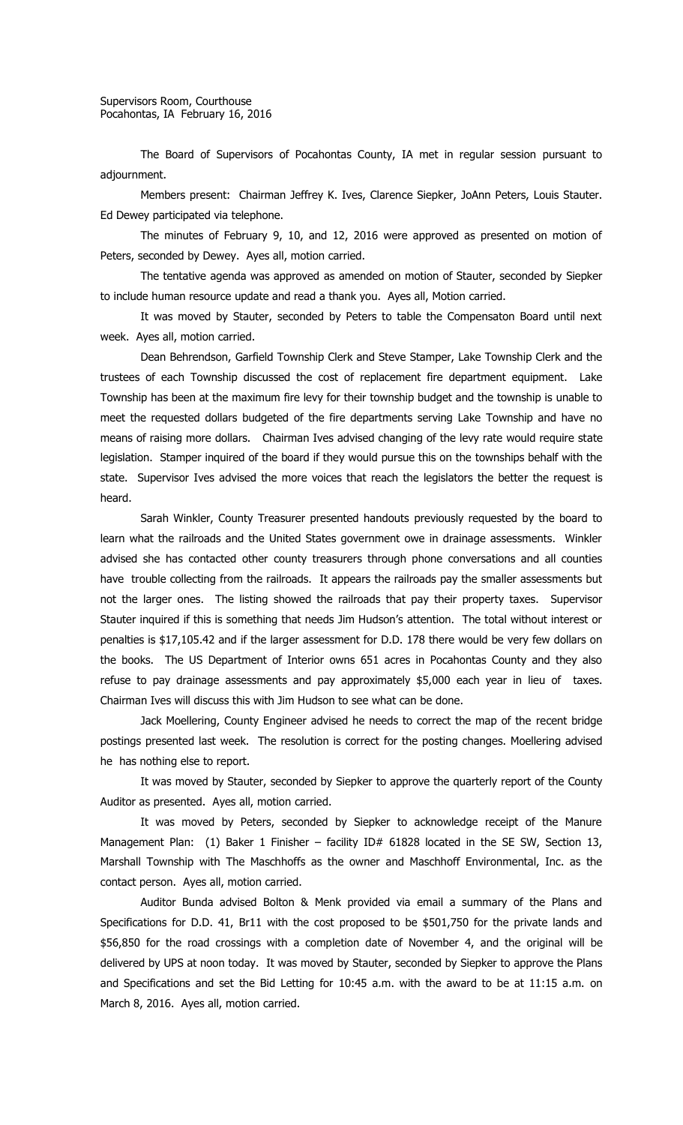The Board of Supervisors of Pocahontas County, IA met in regular session pursuant to adjournment.

Members present: Chairman Jeffrey K. Ives, Clarence Siepker, JoAnn Peters, Louis Stauter. Ed Dewey participated via telephone.

The minutes of February 9, 10, and 12, 2016 were approved as presented on motion of Peters, seconded by Dewey. Ayes all, motion carried.

The tentative agenda was approved as amended on motion of Stauter, seconded by Siepker to include human resource update and read a thank you. Ayes all, Motion carried.

It was moved by Stauter, seconded by Peters to table the Compensaton Board until next week. Ayes all, motion carried.

Dean Behrendson, Garfield Township Clerk and Steve Stamper, Lake Township Clerk and the trustees of each Township discussed the cost of replacement fire department equipment. Lake Township has been at the maximum fire levy for their township budget and the township is unable to meet the requested dollars budgeted of the fire departments serving Lake Township and have no means of raising more dollars. Chairman Ives advised changing of the levy rate would require state legislation. Stamper inquired of the board if they would pursue this on the townships behalf with the state. Supervisor Ives advised the more voices that reach the legislators the better the request is heard.

Sarah Winkler, County Treasurer presented handouts previously requested by the board to learn what the railroads and the United States government owe in drainage assessments. Winkler advised she has contacted other county treasurers through phone conversations and all counties have trouble collecting from the railroads. It appears the railroads pay the smaller assessments but not the larger ones. The listing showed the railroads that pay their property taxes. Supervisor Stauter inquired if this is something that needs Jim Hudson's attention. The total without interest or penalties is \$17,105.42 and if the larger assessment for D.D. 178 there would be very few dollars on the books. The US Department of Interior owns 651 acres in Pocahontas County and they also refuse to pay drainage assessments and pay approximately \$5,000 each year in lieu of taxes. Chairman Ives will discuss this with Jim Hudson to see what can be done.

Jack Moellering, County Engineer advised he needs to correct the map of the recent bridge postings presented last week. The resolution is correct for the posting changes. Moellering advised he has nothing else to report.

It was moved by Stauter, seconded by Siepker to approve the quarterly report of the County Auditor as presented. Ayes all, motion carried.

It was moved by Peters, seconded by Siepker to acknowledge receipt of the Manure Management Plan: (1) Baker 1 Finisher - facility ID# 61828 located in the SE SW, Section 13, Marshall Township with The Maschhoffs as the owner and Maschhoff Environmental, Inc. as the contact person. Ayes all, motion carried.

Auditor Bunda advised Bolton & Menk provided via email a summary of the Plans and Specifications for D.D. 41, Br11 with the cost proposed to be \$501,750 for the private lands and \$56,850 for the road crossings with a completion date of November 4, and the original will be delivered by UPS at noon today. It was moved by Stauter, seconded by Siepker to approve the Plans and Specifications and set the Bid Letting for 10:45 a.m. with the award to be at 11:15 a.m. on March 8, 2016. Ayes all, motion carried.